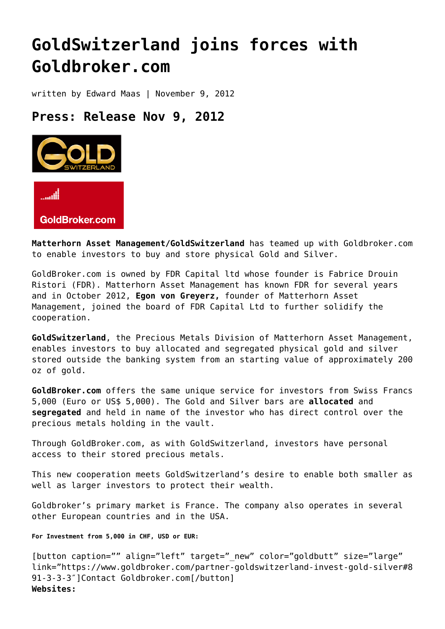## **[GoldSwitzerland joins forces with](https://goldswitzerland.com/goldswitzerland-joins-forces-with-goldbroker-com/) [Goldbroker.com](https://goldswitzerland.com/goldswitzerland-joins-forces-with-goldbroker-com/)**

written by Edward Maas | November 9, 2012

## **Press: Release Nov 9, 2012**



GoldBroker.com

**Matterhorn Asset Management/GoldSwitzerland** has teamed up with Goldbroker.com to enable investors to buy and store physical Gold and Silver.

GoldBroker.com is owned by FDR Capital ltd whose founder is Fabrice Drouin Ristori (FDR). Matterhorn Asset Management has known FDR for several years and in October 2012, **Egon von Greyerz,** founder of Matterhorn Asset Management, joined the board of FDR Capital Ltd to further solidify the cooperation.

**GoldSwitzerland**, the Precious Metals Division of Matterhorn Asset Management, enables investors to buy allocated and segregated physical gold and silver stored outside the banking system from an starting value of approximately 200 oz of gold.

**GoldBroker.com** offers the same unique service for investors from Swiss Francs 5,000 (Euro or US\$ 5,000). The Gold and Silver bars are **allocated** and **segregated** and held in name of the investor who has direct control over the precious metals holding in the vault.

Through GoldBroker.com, as with GoldSwitzerland, investors have personal access to their stored precious metals.

This new cooperation meets GoldSwitzerland's desire to enable both smaller as well as larger investors to protect their wealth.

Goldbroker's primary market is France. The company also operates in several other European countries and in the USA.

**For Investment from 5,000 in CHF, USD or EUR:**

[button caption="" align="left" target=" new" color="goldbutt" size="large" link="https://www.goldbroker.com/partner-goldswitzerland-invest-gold-silver#8 91-3-3-3″]Contact Goldbroker.com[/button] **Websites:**